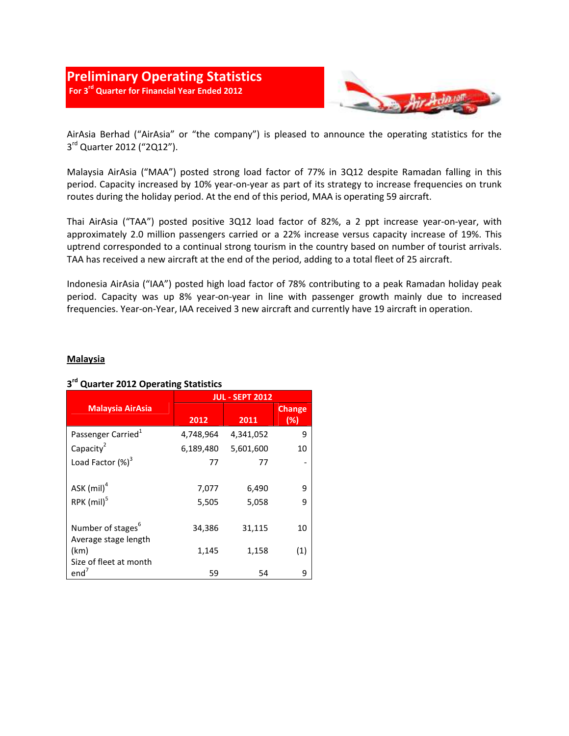

AirAsia Berhad ("AirAsia" or "the company") is pleased to announce the operating statistics for the 3<sup>rd</sup> Quarter 2012 ("2Q12").

Malaysia AirAsia ("MAA") posted strong load factor of 77% in 3Q12 despite Ramadan falling in this period. Capacity increased by 10% year-on-year as part of its strategy to increase frequencies on trunk routes during the holiday period. At the end of this period, MAA is operating 59 aircraft.

Thai AirAsia ("TAA") posted positive 3Q12 load factor of 82%, a 2 ppt increase year-on-year, with approximately 2.0 million passengers carried or a 22% increase versus capacity increase of 19%. This uptrend corresponded to a continual strong tourism in the country based on number of tourist arrivals. TAA has received a new aircraft at the end of the period, adding to a total fleet of 25 aircraft.

Indonesia AirAsia ("IAA") posted high load factor of 78% contributing to a peak Ramadan holiday peak period. Capacity was up 8% year-on-year in line with passenger growth mainly due to increased frequencies. Year-on-Year, IAA received 3 new aircraft and currently have 19 aircraft in operation.

#### Malaysia

#### Malaysia AirAsia JUL - SEPT 2012 2012 2011 Change (%) Passenger Carried<sup>1</sup> 4,748,964 4,341,052 9 Capacity $2$  6,189,480 5,601,600 10 Load Factor  $(\%)^3$  77 77 - ASK  $(mil)^4$  7,077 6,490 9  $RPK$  (mil)<sup>5</sup> 5,505 5,058 9 Number of stages<sup>6</sup> 34,386 31,115 10 Average stage length (km) 1,145 1,158 (1) Size of fleet at month  $end<sup>7</sup>$ 59 54 9

### 3<sup>rd</sup> Quarter 2012 Operating Statistics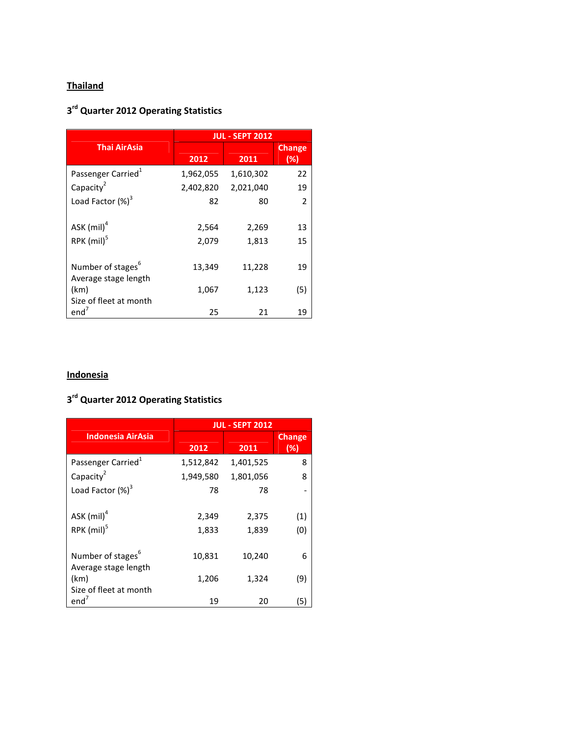# **Thailand**

## 3<sup>rd</sup> Quarter 2012 Operating Statistics

|                                | <b>JUL - SEPT 2012</b> |           |               |
|--------------------------------|------------------------|-----------|---------------|
| <b>Thai AirAsia</b>            |                        |           | <b>Change</b> |
|                                | 2012                   | 2011      | (%)           |
| Passenger Carried <sup>1</sup> | 1,962,055              | 1,610,302 | 22            |
| Capacity <sup>2</sup>          | 2,402,820              | 2,021,040 | 19            |
| Load Factor (%) <sup>3</sup>   | 82                     | 80        | 2             |
|                                |                        |           |               |
| ASK $(mil)^4$                  | 2,564                  | 2,269     | 13            |
| RPK $(mil)^5$                  | 2,079                  | 1,813     | 15            |
|                                |                        |           |               |
| Number of stages <sup>6</sup>  | 13,349                 | 11,228    | 19            |
| Average stage length           |                        |           |               |
| (km)                           | 1,067                  | 1,123     | (5)           |
| Size of fleet at month         |                        |           |               |
| end <sup>7</sup>               | 25                     | 21        | 19            |

# **Indonesia**

## 3<sup>rd</sup> Quarter 2012 Operating Statistics

|                                                       | <b>JUL - SEPT 2012</b> |                |                      |
|-------------------------------------------------------|------------------------|----------------|----------------------|
| <b>Indonesia AirAsia</b>                              | 2012                   | 2011           | <b>Change</b><br>(%) |
| Passenger Carried <sup>1</sup>                        | 1,512,842              | 1,401,525      | 8                    |
| Capacity <sup>2</sup>                                 | 1,949,580              | 1,801,056      | 8                    |
| Load Factor (%) <sup>3</sup>                          | 78                     | 78             |                      |
| ASK $(mil)^4$<br>$RPK$ (mil) <sup>5</sup>             | 2,349<br>1,833         | 2,375<br>1,839 | (1)<br>(0)           |
| Number of stages <sup>6</sup><br>Average stage length | 10,831                 | 10,240         | 6                    |
| (km)<br>Size of fleet at month                        | 1,206                  | 1,324          | (9)                  |
| end <sup>7</sup>                                      | 19                     | 20             | (5)                  |